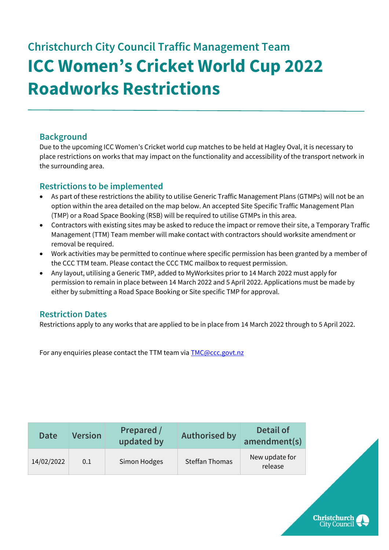## **Christchurch City Council Traffic Management Team ICC Women's Cricket World Cup 2022 Roadworks Restrictions**

## **Background**

Due to the upcoming ICC Women's Cricket world cup matches to be held at Hagley Oval, it is necessary to place restrictions on works that may impact on the functionality and accessibility of the transport network in the surrounding area.

## **Restrictions to be implemented**

- As part of these restrictions the ability to utilise Generic Traffic Management Plans (GTMPs) will not be an option within the area detailed on the map below. An accepted Site Specific Traffic Management Plan (TMP) or a Road Space Booking (RSB) will be required to utilise GTMPs in this area.
- Contractors with existing sites may be asked to reduce the impact or remove their site, a Temporary Traffic Management (TTM) Team member will make contact with contractors should worksite amendment or removal be required.
- Work activities may be permitted to continue where specific permission has been granted by a member of the CCC TTM team. Please contact the CCC TMC mailbox to request permission.
- Any layout, utilising a Generic TMP, added to MyWorksites prior to 14 March 2022 must apply for permission to remain in place between 14 March 2022 and 5 April 2022. Applications must be made by either by submitting a Road Space Booking or Site specific TMP for approval.

## **Restriction Dates**

Restrictions apply to any works that are applied to be in place from 14 March 2022 through to 5 April 2022.

For any enquiries please contact the TTM team via [TMC@ccc.govt.nz](mailto:TMC@ccc.govt.nz)

| New update for                                                 |
|----------------------------------------------------------------|
| Steffan Thomas<br>14/02/2022<br>Simon Hodges<br>0.1<br>release |

**Christchurch City Council**